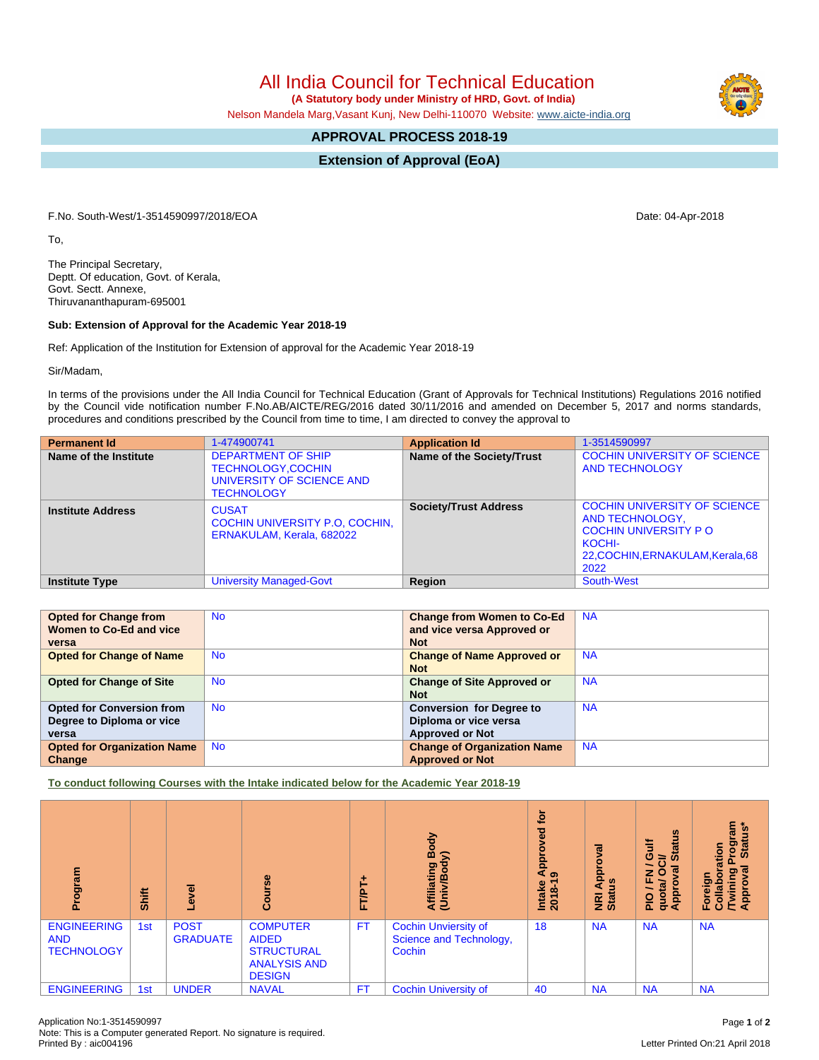All India Council for Technical Education

 **(A Statutory body under Ministry of HRD, Govt. of India)**

Nelson Mandela Marg,Vasant Kunj, New Delhi-110070 Website: [www.aicte-india.org](http://www.aicte-india.org)

## **APPROVAL PROCESS 2018-19**

**Extension of Approval (EoA)**

F.No. South-West/1-3514590997/2018/EOA Date: 04-Apr-2018

To,

The Principal Secretary, Deptt. Of education, Govt. of Kerala, Govt. Sectt. Annexe, Thiruvananthapuram-695001

## **Sub: Extension of Approval for the Academic Year 2018-19**

Ref: Application of the Institution for Extension of approval for the Academic Year 2018-19

Sir/Madam,

In terms of the provisions under the All India Council for Technical Education (Grant of Approvals for Technical Institutions) Regulations 2016 notified by the Council vide notification number F.No.AB/AICTE/REG/2016 dated 30/11/2016 and amended on December 5, 2017 and norms standards, procedures and conditions prescribed by the Council from time to time, I am directed to convey the approval to

| <b>Permanent Id</b>      | 1-474900741                                                                                             | <b>Application Id</b>        | 1-3514590997                                                                                                                                 |
|--------------------------|---------------------------------------------------------------------------------------------------------|------------------------------|----------------------------------------------------------------------------------------------------------------------------------------------|
| Name of the Institute    | <b>DEPARTMENT OF SHIP</b><br><b>TECHNOLOGY,COCHIN</b><br>UNIVERSITY OF SCIENCE AND<br><b>TECHNOLOGY</b> | Name of the Society/Trust    | <b>COCHIN UNIVERSITY OF SCIENCE</b><br><b>AND TECHNOLOGY</b>                                                                                 |
| <b>Institute Address</b> | <b>CUSAT</b><br>COCHIN UNIVERSITY P.O. COCHIN,<br>ERNAKULAM, Kerala, 682022                             | <b>Society/Trust Address</b> | <b>COCHIN UNIVERSITY OF SCIENCE</b><br>AND TECHNOLOGY,<br><b>COCHIN UNIVERSITY PO</b><br>KOCHI-<br>22, COCHIN, ERNAKULAM, Kerala, 68<br>2022 |
| <b>Institute Type</b>    | <b>University Managed-Govt</b>                                                                          | Region                       | South-West                                                                                                                                   |

| <b>Opted for Change from</b>       | <b>No</b> | <b>Change from Women to Co-Ed</b>  | <b>NA</b> |
|------------------------------------|-----------|------------------------------------|-----------|
| Women to Co-Ed and vice            |           | and vice versa Approved or         |           |
| versa                              |           | <b>Not</b>                         |           |
| <b>Opted for Change of Name</b>    | <b>No</b> | <b>Change of Name Approved or</b>  | <b>NA</b> |
|                                    |           | <b>Not</b>                         |           |
| <b>Opted for Change of Site</b>    | <b>No</b> | <b>Change of Site Approved or</b>  | <b>NA</b> |
|                                    |           | <b>Not</b>                         |           |
| <b>Opted for Conversion from</b>   | <b>No</b> | <b>Conversion for Degree to</b>    | <b>NA</b> |
| Degree to Diploma or vice          |           | Diploma or vice versa              |           |
| versa                              |           | <b>Approved or Not</b>             |           |
| <b>Opted for Organization Name</b> | <b>No</b> | <b>Change of Organization Name</b> | <b>NA</b> |
| Change                             |           | <b>Approved or Not</b>             |           |

**To conduct following Courses with the Intake indicated below for the Academic Year 2018-19**

| Program                                               | Shift | g                              | $\frac{6}{5}$                                                                                | TAL<br>u. | δÓ<br>⋒<br>⋦<br>Affiliating<br>(Univ/Bod <sup>)</sup>            | <b>b</b><br>್ಠಾ<br>о<br>Āp<br>ၜ<br>Intake<br>$2018 - 1$ | $\overline{\overline{6}}$<br>ō<br>Appl<br><u>us</u><br>NRI<br>Statu | $\boldsymbol{\omega}$<br><b>Jire</b><br>Īā<br>≃<br>ဖာ<br>œ<br>z<br>ய<br>₫<br>quota<br>Appro<br>$\frac{1}{2}$ | rogram<br>Status*<br>Stat<br>ation<br>Ò.<br>Foreign<br>Collabora<br>/Twining<br>Approval |
|-------------------------------------------------------|-------|--------------------------------|----------------------------------------------------------------------------------------------|-----------|------------------------------------------------------------------|---------------------------------------------------------|---------------------------------------------------------------------|--------------------------------------------------------------------------------------------------------------|------------------------------------------------------------------------------------------|
| <b>ENGINEERING</b><br><b>AND</b><br><b>TECHNOLOGY</b> | 1st   | <b>POST</b><br><b>GRADUATE</b> | <b>COMPUTER</b><br><b>AIDED</b><br><b>STRUCTURAL</b><br><b>ANALYSIS AND</b><br><b>DESIGN</b> | <b>FT</b> | <b>Cochin Unviersity of</b><br>Science and Technology,<br>Cochin | 18                                                      | <b>NA</b>                                                           | <b>NA</b>                                                                                                    | <b>NA</b>                                                                                |
| <b>ENGINEERING</b>                                    | 1st   | <b>UNDER</b>                   | <b>NAVAL</b>                                                                                 | <b>FT</b> | <b>Cochin University of</b>                                      | 40                                                      | <b>NA</b>                                                           | <b>NA</b>                                                                                                    | <b>NA</b>                                                                                |